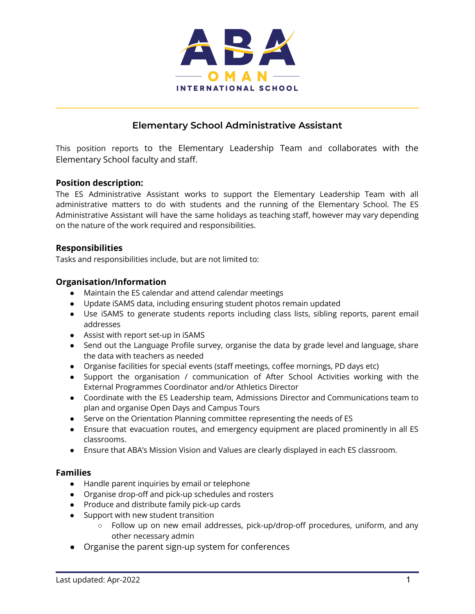

### **Elementary School Administrative Assistant**

This position reports to the Elementary Leadership Team and collaborates with the Elementary School faculty and staff.

#### **Position description:**

The ES Administrative Assistant works to support the Elementary Leadership Team with all administrative matters to do with students and the running of the Elementary School. The ES Administrative Assistant will have the same holidays as teaching staff, however may vary depending on the nature of the work required and responsibilities.

#### **Responsibilities**

Tasks and responsibilities include, but are not limited to:

#### **Organisation/Information**

- Maintain the ES calendar and attend calendar meetings
- Update iSAMS data, including ensuring student photos remain updated
- Use iSAMS to generate students reports including class lists, sibling reports, parent email addresses
- Assist with report set-up in iSAMS
- Send out the Language Profile survey, organise the data by grade level and language, share the data with teachers as needed
- Organise facilities for special events (staff meetings, coffee mornings, PD days etc)
- Support the organisation / communication of After School Activities working with the External Programmes Coordinator and/or Athletics Director
- Coordinate with the ES Leadership team, Admissions Director and Communications team to plan and organise Open Days and Campus Tours
- Serve on the Orientation Planning committee representing the needs of ES
- Ensure that evacuation routes, and emergency equipment are placed prominently in all ES classrooms.
- Ensure that ABA's Mission Vision and Values are clearly displayed in each ES classroom.

#### **Families**

- Handle parent inquiries by email or telephone
- Organise drop-off and pick-up schedules and rosters
- Produce and distribute family pick-up cards
- Support with new student transition
	- Follow up on new email addresses, pick-up/drop-off procedures, uniform, and any other necessary admin
- Organise the parent sign-up system for conferences